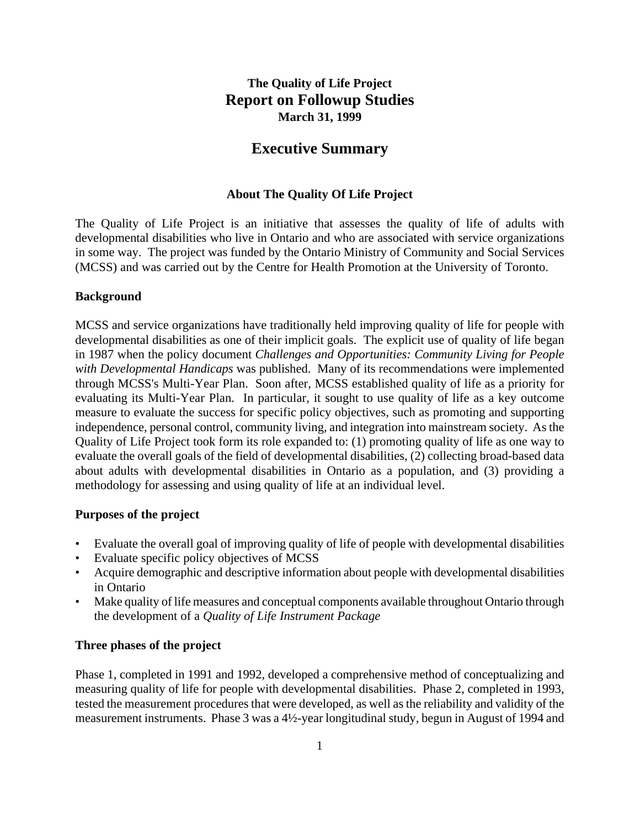# **The Quality of Life Project Report on Followup Studies March 31, 1999**

# **Executive Summary**

#### **About The Quality Of Life Project**

The Quality of Life Project is an initiative that assesses the quality of life of adults with developmental disabilities who live in Ontario and who are associated with service organizations in some way. The project was funded by the Ontario Ministry of Community and Social Services (MCSS) and was carried out by the Centre for Health Promotion at the University of Toronto.

#### **Background**

MCSS and service organizations have traditionally held improving quality of life for people with developmental disabilities as one of their implicit goals. The explicit use of quality of life began in 1987 when the policy document *Challenges and Opportunities: Community Living for People with Developmental Handicaps* was published. Many of its recommendations were implemented through MCSS's Multi-Year Plan. Soon after, MCSS established quality of life as a priority for evaluating its Multi-Year Plan. In particular, it sought to use quality of life as a key outcome measure to evaluate the success for specific policy objectives, such as promoting and supporting independence, personal control, community living, and integration into mainstream society. As the Quality of Life Project took form its role expanded to: (1) promoting quality of life as one way to evaluate the overall goals of the field of developmental disabilities, (2) collecting broad-based data about adults with developmental disabilities in Ontario as a population, and (3) providing a methodology for assessing and using quality of life at an individual level.

#### **Purposes of the project**

- Evaluate the overall goal of improving quality of life of people with developmental disabilities
- Evaluate specific policy objectives of MCSS
- Acquire demographic and descriptive information about people with developmental disabilities in Ontario
- Make quality of life measures and conceptual components available throughout Ontario through the development of a *Quality of Life Instrument Package*

#### **Three phases of the project**

Phase 1, completed in 1991 and 1992, developed a comprehensive method of conceptualizing and measuring quality of life for people with developmental disabilities. Phase 2, completed in 1993, tested the measurement procedures that were developed, as well as the reliability and validity of the measurement instruments. Phase 3 was a 4½-year longitudinal study, begun in August of 1994 and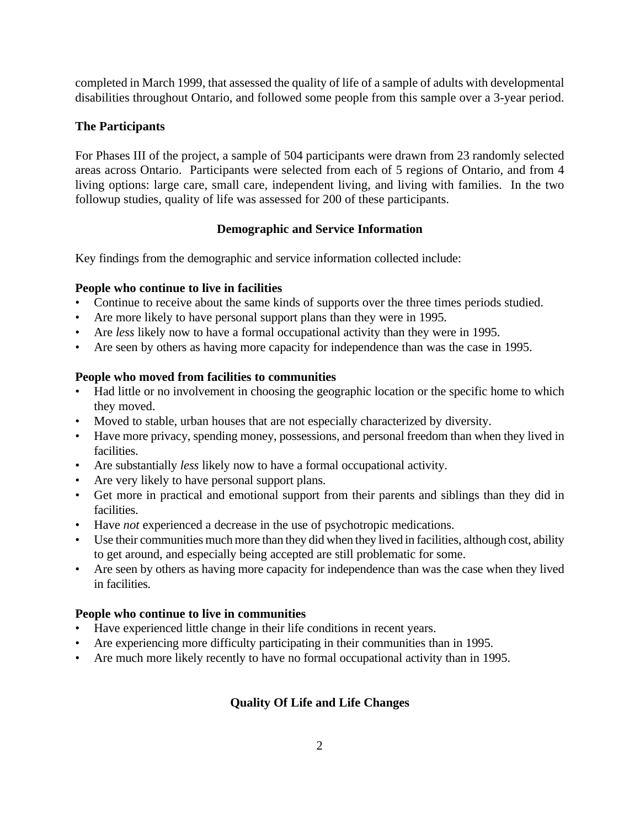completed in March 1999, that assessed the quality of life of a sample of adults with developmental disabilities throughout Ontario, and followed some people from this sample over a 3-year period.

### **The Participants**

For Phases III of the project, a sample of 504 participants were drawn from 23 randomly selected areas across Ontario. Participants were selected from each of 5 regions of Ontario, and from 4 living options: large care, small care, independent living, and living with families. In the two followup studies, quality of life was assessed for 200 of these participants.

#### **Demographic and Service Information**

Key findings from the demographic and service information collected include:

### **People who continue to live in facilities**

- Continue to receive about the same kinds of supports over the three times periods studied.
- Are more likely to have personal support plans than they were in 1995.
- Are *less* likely now to have a formal occupational activity than they were in 1995.
- Are seen by others as having more capacity for independence than was the case in 1995.

### **People who moved from facilities to communities**

- Had little or no involvement in choosing the geographic location or the specific home to which they moved.
- Moved to stable, urban houses that are not especially characterized by diversity.
- Have more privacy, spending money, possessions, and personal freedom than when they lived in facilities.
- Are substantially *less* likely now to have a formal occupational activity.
- Are very likely to have personal support plans.
- Get more in practical and emotional support from their parents and siblings than they did in facilities.
- Have *not* experienced a decrease in the use of psychotropic medications.
- Use their communities much more than they did when they lived in facilities, although cost, ability to get around, and especially being accepted are still problematic for some.
- Are seen by others as having more capacity for independence than was the case when they lived in facilities.

#### **People who continue to live in communities**

- Have experienced little change in their life conditions in recent years.
- Are experiencing more difficulty participating in their communities than in 1995.
- Are much more likely recently to have no formal occupational activity than in 1995.

## **Quality Of Life and Life Changes**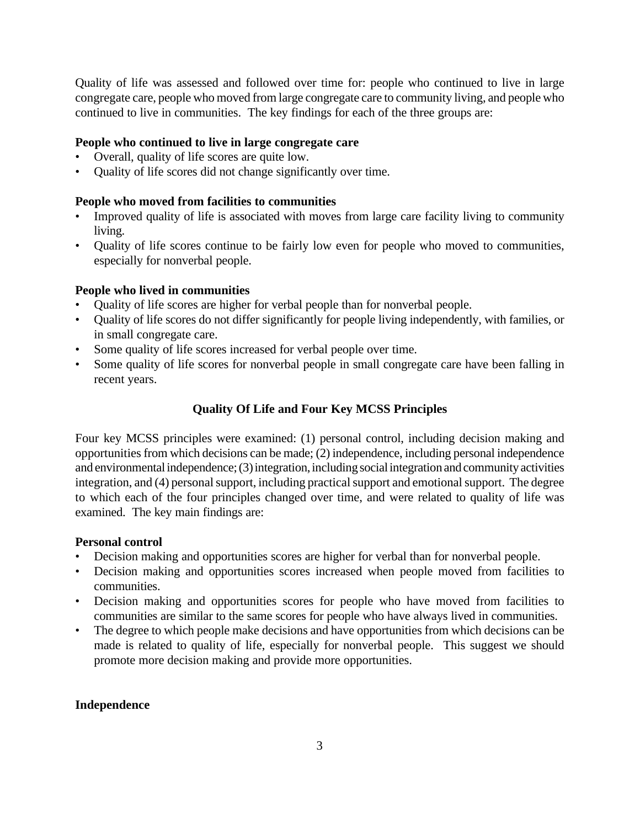Quality of life was assessed and followed over time for: people who continued to live in large congregate care, people who moved from large congregate care to community living, and people who continued to live in communities. The key findings for each of the three groups are:

### **People who continued to live in large congregate care**

- Overall, quality of life scores are quite low.
- Quality of life scores did not change significantly over time.

### **People who moved from facilities to communities**

- Improved quality of life is associated with moves from large care facility living to community living.
- Quality of life scores continue to be fairly low even for people who moved to communities, especially for nonverbal people.

### **People who lived in communities**

- Quality of life scores are higher for verbal people than for nonverbal people.
- Quality of life scores do not differ significantly for people living independently, with families, or in small congregate care.
- Some quality of life scores increased for verbal people over time.
- Some quality of life scores for nonverbal people in small congregate care have been falling in recent years.

## **Quality Of Life and Four Key MCSS Principles**

Four key MCSS principles were examined: (1) personal control, including decision making and opportunities from which decisions can be made; (2) independence, including personal independence and environmental independence; (3) integration, including social integration and community activities integration, and (4) personal support, including practical support and emotional support. The degree to which each of the four principles changed over time, and were related to quality of life was examined. The key main findings are:

#### **Personal control**

- Decision making and opportunities scores are higher for verbal than for nonverbal people.
- Decision making and opportunities scores increased when people moved from facilities to communities.
- Decision making and opportunities scores for people who have moved from facilities to communities are similar to the same scores for people who have always lived in communities.
- The degree to which people make decisions and have opportunities from which decisions can be made is related to quality of life, especially for nonverbal people. This suggest we should promote more decision making and provide more opportunities.

#### **Independence**